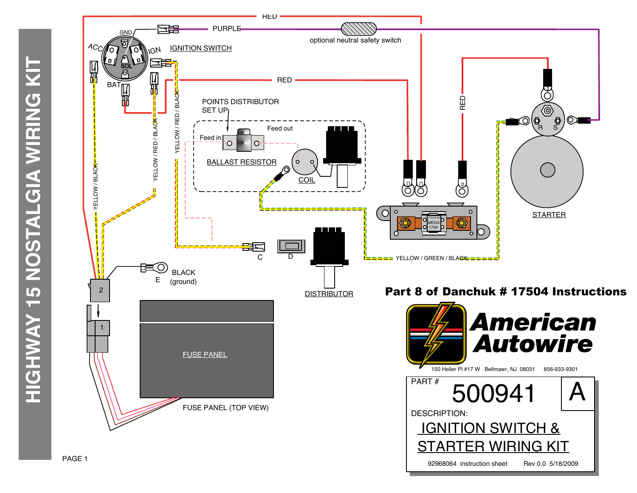